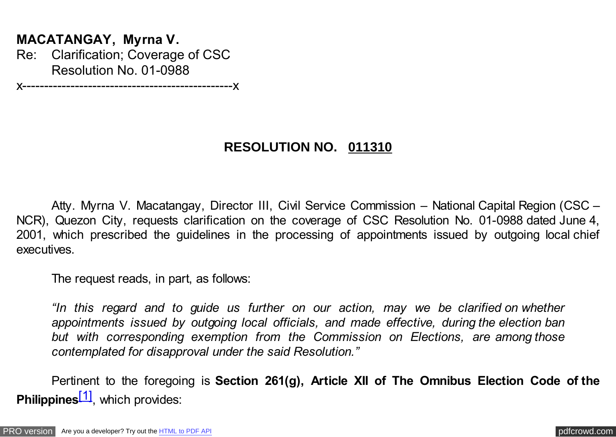## <span id="page-0-0"></span>**MACATANGAY, Myrna V.**

Re: Clarification; Coverage of CSC Resolution No. 01-0988

x------------------------------------------------x

## **RESOLUTION NO. 011310**

Atty. Myrna V. Macatangay, Director III, Civil Service Commission – National Capital Region (CSC – NCR), Quezon City, requests clarification on the coverage of CSC Resolution No. 01-0988 dated June 4, 2001, which prescribed the guidelines in the processing of appointments issued by outgoing local chief executives.

The request reads, in part, as follows:

*"In this regard and to guide us further on our action, may we be clarified on whether appointments issued by outgoing local officials, and made effective, during the election ban but with corresponding exemption from the Commission on Elections, are among those contemplated for disapproval under the said Resolution."*

Pertinent to the foregoing is **Section 261(g), Article XII of The Omnibus Election Code of the Philippines**<sup>[1]</sup>, which provides: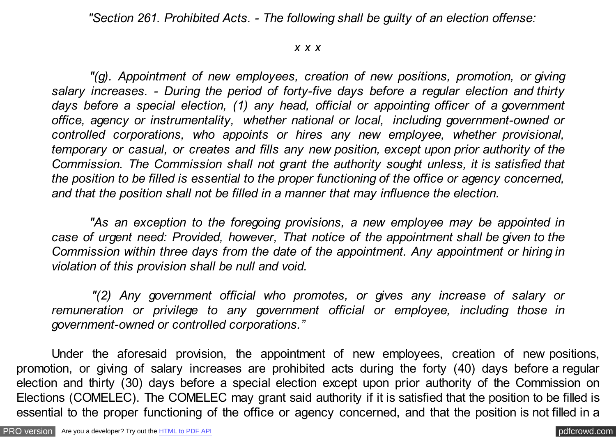*"Section 261. Prohibited Acts. - The following shall be guilty of an election offense:*

## *x x x*

 *"(g). Appointment of new employees, creation of new positions, promotion, or giving salary increases. - During the period of forty-five days before a regular election and thirty days before a special election, (1) any head, official or appointing officer of a government office, agency or instrumentality, whether national or local, including government-owned or controlled corporations, who appoints or hires any new employee, whether provisional, temporary or casual, or creates and fills any new position, except upon prior authority of the Commission. The Commission shall not grant the authority sought unless, it is satisfied that the position to be filled is essential to the proper functioning of the office or agency concerned, and that the position shall not be filled in a manner that may influence the election.*

 *"As an exception to the foregoing provisions, a new employee may be appointed in case of urgent need: Provided, however, That notice of the appointment shall be given to the Commission within three days from the date of the appointment. Any appointment or hiring in violation of this provision shall be null and void.*

 *"(2) Any government official who promotes, or gives any increase of salary or remuneration or privilege to any government official or employee, including those in government-owned or controlled corporations."*

Under the aforesaid provision, the appointment of new employees, creation of new positions, promotion, or giving of salary increases are prohibited acts during the forty (40) days before a regular election and thirty (30) days before a special election except upon prior authority of the Commission on Elections (COMELEC). The COMELEC may grant said authority if it is satisfied that the position to be filled is essential to the proper functioning of the office or agency concerned, and that the position is not filled in a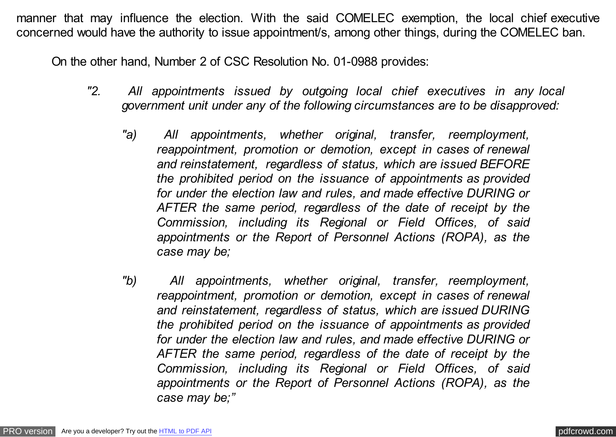manner that may influence the election. With the said COMELEC exemption, the local chief executive concerned would have the authority to issue appointment/s, among other things, during the COMELEC ban.

On the other hand, Number 2 of CSC Resolution No. 01-0988 provides:

- *"2. All appointments issued by outgoing local chief executives in any local government unit under any of the following circumstances are to be disapproved:*
	- *"a) All appointments, whether original, transfer, reemployment, reappointment, promotion or demotion, except in cases of renewal and reinstatement, regardless of status, which are issued BEFORE the prohibited period on the issuance of appointments as provided for under the election law and rules, and made effective DURING or AFTER the same period, regardless of the date of receipt by the Commission, including its Regional or Field Offices, of said appointments or the Report of Personnel Actions (ROPA), as the case may be;*
	- *"b) All appointments, whether original, transfer, reemployment, reappointment, promotion or demotion, except in cases of renewal and reinstatement, regardless of status, which are issued DURING the prohibited period on the issuance of appointments as provided for under the election law and rules, and made effective DURING or AFTER the same period, regardless of the date of receipt by the Commission, including its Regional or Field Offices, of said appointments or the Report of Personnel Actions (ROPA), as the case may be;"*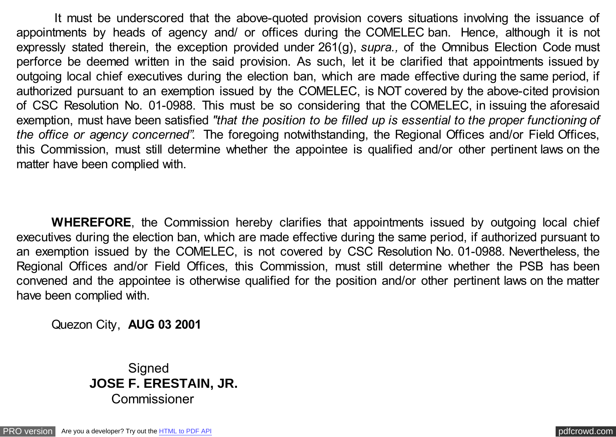It must be underscored that the above-quoted provision covers situations involving the issuance of appointments by heads of agency and/ or offices during the COMELEC ban. Hence, although it is not expressly stated therein, the exception provided under 261(g), *supra.,* of the Omnibus Election Code must perforce be deemed written in the said provision. As such, let it be clarified that appointments issued by outgoing local chief executives during the election ban, which are made effective during the same period, if authorized pursuant to an exemption issued by the COMELEC, is NOT covered by the above-cited provision of CSC Resolution No. 01-0988. This must be so considering that the COMELEC, in issuing the aforesaid exemption, must have been satisfied *"that the position to be filled up is essential to the proper functioning of the office or agency concerned"*. The foregoing notwithstanding, the Regional Offices and/or Field Offices, this Commission, must still determine whether the appointee is qualified and/or other pertinent laws on the matter have been complied with.

**WHEREFORE**, the Commission hereby clarifies that appointments issued by outgoing local chief executives during the election ban, which are made effective during the same period, if authorized pursuant to an exemption issued by the COMELEC, is not covered by CSC Resolution No. 01-0988. Nevertheless, the Regional Offices and/or Field Offices, this Commission, must still determine whether the PSB has been convened and the appointee is otherwise qualified for the position and/or other pertinent laws on the matter have been complied with.

Quezon City, **AUG 03 2001**

**Signed JOSE F. ERESTAIN, JR.** Commissioner